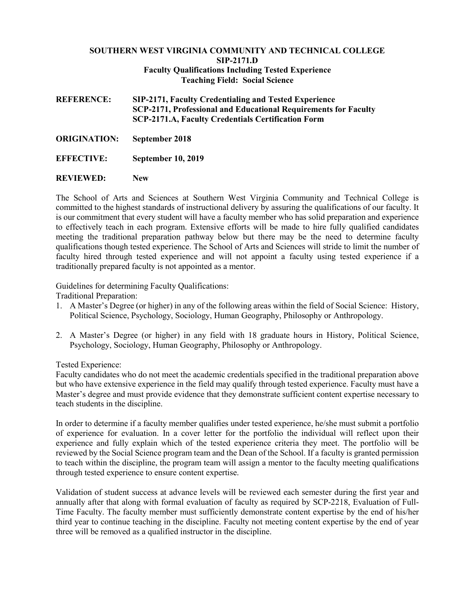## **SOUTHERN WEST VIRGINIA COMMUNITY AND TECHNICAL COLLEGE SIP-2171.D Faculty Qualifications Including Tested Experience Teaching Field: Social Science**

**REFERENCE: SIP-2171, Faculty Credentialing and Tested Experience SCP-2171, Professional and Educational Requirements for Faculty SCP-2171.A, Faculty Credentials Certification Form**

- **ORIGINATION: September 2018**
- **EFFECTIVE: September 10, 2019**
- **REVIEWED: New**

The School of Arts and Sciences at Southern West Virginia Community and Technical College is committed to the highest standards of instructional delivery by assuring the qualifications of our faculty. It is our commitment that every student will have a faculty member who has solid preparation and experience to effectively teach in each program. Extensive efforts will be made to hire fully qualified candidates meeting the traditional preparation pathway below but there may be the need to determine faculty qualifications though tested experience. The School of Arts and Sciences will stride to limit the number of faculty hired through tested experience and will not appoint a faculty using tested experience if a traditionally prepared faculty is not appointed as a mentor.

Guidelines for determining Faculty Qualifications:

Traditional Preparation:

- 1. A Master's Degree (or higher) in any of the following areas within the field of Social Science: History, Political Science, Psychology, Sociology, Human Geography, Philosophy or Anthropology.
- 2. A Master's Degree (or higher) in any field with 18 graduate hours in History, Political Science, Psychology, Sociology, Human Geography, Philosophy or Anthropology.

Tested Experience:

Faculty candidates who do not meet the academic credentials specified in the traditional preparation above but who have extensive experience in the field may qualify through tested experience. Faculty must have a Master's degree and must provide evidence that they demonstrate sufficient content expertise necessary to teach students in the discipline.

In order to determine if a faculty member qualifies under tested experience, he/she must submit a portfolio of experience for evaluation. In a cover letter for the portfolio the individual will reflect upon their experience and fully explain which of the tested experience criteria they meet. The portfolio will be reviewed by the Social Science program team and the Dean of the School. If a faculty is granted permission to teach within the discipline, the program team will assign a mentor to the faculty meeting qualifications through tested experience to ensure content expertise.

Validation of student success at advance levels will be reviewed each semester during the first year and annually after that along with formal evaluation of faculty as required by SCP-2218, Evaluation of Full-Time Faculty. The faculty member must sufficiently demonstrate content expertise by the end of his/her third year to continue teaching in the discipline. Faculty not meeting content expertise by the end of year three will be removed as a qualified instructor in the discipline.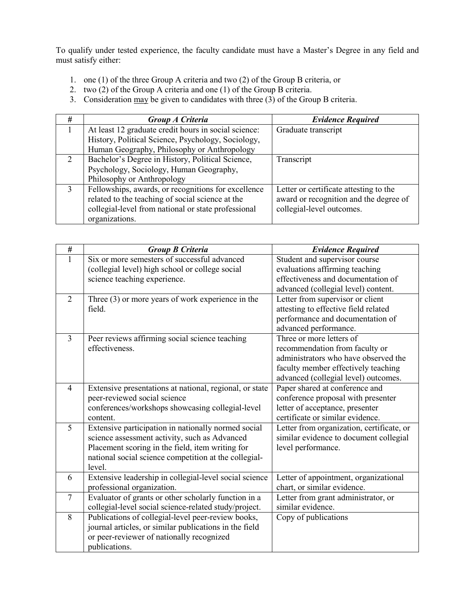To qualify under tested experience, the faculty candidate must have a Master's Degree in any field and must satisfy either:

- 1. one (1) of the three Group A criteria and two (2) of the Group B criteria, or
- 2. two (2) of the Group A criteria and one (1) of the Group B criteria.
- 3. Consideration  $\frac{\text{max}}{\text{p}}$  be given to candidates with three (3) of the Group B criteria.

| # | Group A Criteria                                     | <b>Evidence Required</b>               |  |
|---|------------------------------------------------------|----------------------------------------|--|
|   | At least 12 graduate credit hours in social science: | Graduate transcript                    |  |
|   | History, Political Science, Psychology, Sociology,   |                                        |  |
|   | Human Geography, Philosophy or Anthropology          |                                        |  |
| 2 | Bachelor's Degree in History, Political Science,     | Transcript                             |  |
|   | Psychology, Sociology, Human Geography,              |                                        |  |
|   | Philosophy or Anthropology                           |                                        |  |
| 3 | Fellowships, awards, or recognitions for excellence  | Letter or certificate attesting to the |  |
|   | related to the teaching of social science at the     | award or recognition and the degree of |  |
|   | collegial-level from national or state professional  | collegial-level outcomes.              |  |
|   | organizations.                                       |                                        |  |

| #              | <b>Group B Criteria</b>                                 | <b>Evidence Required</b>                  |  |
|----------------|---------------------------------------------------------|-------------------------------------------|--|
| 1              | Six or more semesters of successful advanced            | Student and supervisor course             |  |
|                | (collegial level) high school or college social         | evaluations affirming teaching            |  |
|                | science teaching experience.                            | effectiveness and documentation of        |  |
|                |                                                         | advanced (collegial level) content.       |  |
| 2              | Three $(3)$ or more years of work experience in the     | Letter from supervisor or client          |  |
|                | field.                                                  | attesting to effective field related      |  |
|                |                                                         | performance and documentation of          |  |
|                |                                                         | advanced performance.                     |  |
| 3              | Peer reviews affirming social science teaching          | Three or more letters of                  |  |
|                | effectiveness.                                          | recommendation from faculty or            |  |
|                |                                                         | administrators who have observed the      |  |
|                |                                                         | faculty member effectively teaching       |  |
|                |                                                         | advanced (collegial level) outcomes.      |  |
| $\overline{4}$ | Extensive presentations at national, regional, or state | Paper shared at conference and            |  |
|                | peer-reviewed social science                            | conference proposal with presenter        |  |
|                | conferences/workshops showcasing collegial-level        | letter of acceptance, presenter           |  |
|                | content.                                                | certificate or similar evidence.          |  |
| 5              | Extensive participation in nationally normed social     | Letter from organization, certificate, or |  |
|                | science assessment activity, such as Advanced           | similar evidence to document collegial    |  |
|                | Placement scoring in the field, item writing for        | level performance.                        |  |
|                | national social science competition at the collegial-   |                                           |  |
|                | level.                                                  |                                           |  |
| 6              | Extensive leadership in collegial-level social science  | Letter of appointment, organizational     |  |
|                | professional organization.                              | chart, or similar evidence.               |  |
| $\overline{7}$ | Evaluator of grants or other scholarly function in a    | Letter from grant administrator, or       |  |
|                | collegial-level social science-related study/project.   | similar evidence.                         |  |
| 8              | Publications of collegial-level peer-review books,      | Copy of publications                      |  |
|                | journal articles, or similar publications in the field  |                                           |  |
|                | or peer-reviewer of nationally recognized               |                                           |  |
|                | publications.                                           |                                           |  |